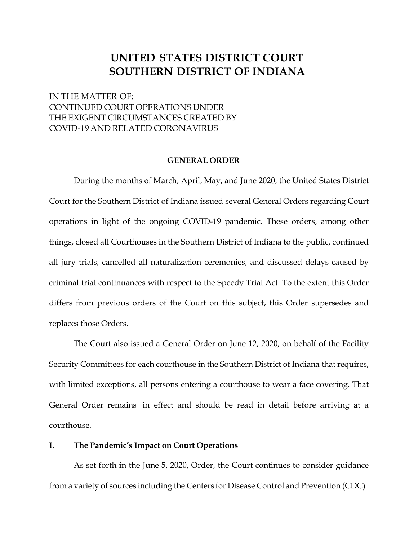# **UNITED STATES DISTRICT COURT SOUTHERN DISTRICT OF INDIANA**

# IN THE MATTER OF: CONTINUED COURT OPERATIONS UNDER THE EXIGENT CIRCUMSTANCES CREATED BY COVID-19 AND RELATED CORONAVIRUS

#### **GENERAL ORDER**

During the months of March, April, May, and June 2020, the United States District Court for the Southern District of Indiana issued several General Orders regarding Court operations in light of the ongoing COVID-19 pandemic. These orders, among other things, closed all Courthouses in the Southern District of Indiana to the public, continued all jury trials, cancelled all naturalization ceremonies, and discussed delays caused by criminal trial continuances with respect to the Speedy Trial Act. To the extent this Order differs from previous orders of the Court on this subject, this Order supersedes and replaces those Orders.

The Court also issued a General Order on June 12, 2020, on behalf of the Facility Security Committees for each courthouse in the Southern District of Indiana that requires, with limited exceptions, all persons entering a courthouse to wear a face covering. That General Order remains in effect and should be read in detail before arriving at a courthouse.

#### **I. The Pandemic's Impact on Court Operations**

As set forth in the June 5, 2020, Order, the Court continues to consider guidance from a variety of sources including the Centers for Disease Control and Prevention (CDC)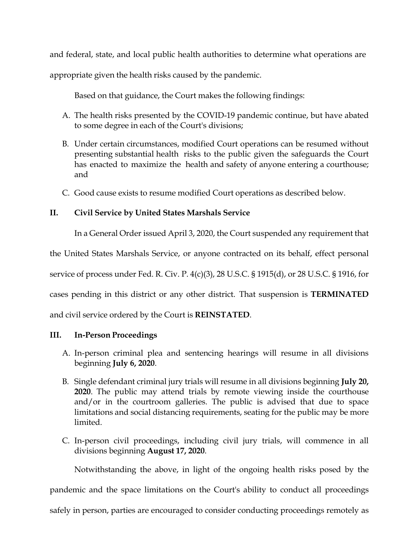and federal, state, and local public health authorities to determine what operations are appropriate given the health risks caused by the pandemic.

Based on that guidance, the Court makes the following findings:

- A. The health risks presented by the COVID-19 pandemic continue, but have abated to some degree in each of the Court's divisions;
- B. Under certain circumstances, modified Court operations can be resumed without presenting substantial health risks to the public given the safeguards the Court has enacted to maximize the health and safety of anyone entering a courthouse; and
- C. Good cause exists to resume modified Court operations as described below.

# **II. Civil Service by United States Marshals Service**

In a General Order issued April 3, 2020, the Court suspended any requirement that

the United States Marshals Service, or anyone contracted on its behalf, effect personal

service of process under Fed. R. Civ. P. 4(c)(3), 28 U.S.C. § 1915(d), or 28 U.S.C. § 1916, for

cases pending in this district or any other district. That suspension is **TERMINATED**

and civil service ordered by the Court is **REINSTATED**.

## **III. In-Person Proceedings**

- A. In-person criminal plea and sentencing hearings will resume in all divisions beginning **July 6, 2020**.
- B. Single defendant criminal jury trials will resume in all divisions beginning **July 20, 2020**. The public may attend trials by remote viewing inside the courthouse and/or in the courtroom galleries. The public is advised that due to space limitations and social distancing requirements, seating for the public may be more limited.
- C. In-person civil proceedings, including civil jury trials, will commence in all divisions beginning **August 17, 2020**.

Notwithstanding the above, in light of the ongoing health risks posed by the

pandemic and the space limitations on the Court's ability to conduct all proceedings

safely in person, parties are encouraged to consider conducting proceedings remotely as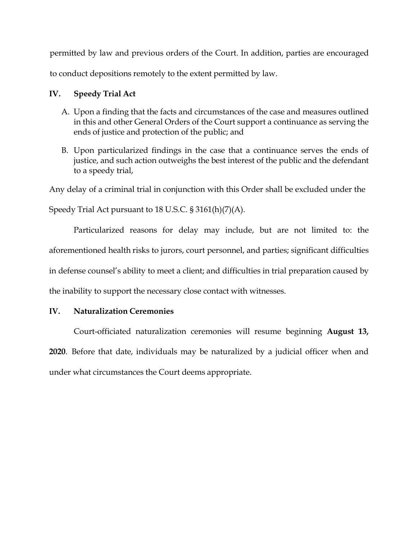permitted by law and previous orders of the Court. In addition, parties are encouraged to conduct depositions remotely to the extent permitted by law.

### **IV. Speedy Trial Act**

- A. Upon a finding that the facts and circumstances of the case and measures outlined in this and other General Orders of the Court support a continuance as serving the ends of justice and protection of the public; and
- B. Upon particularized findings in the case that a continuance serves the ends of justice, and such action outweighs the best interest of the public and the defendant to a speedy trial,

Any delay of a criminal trial in conjunction with this Order shall be excluded under the

Speedy Trial Act pursuant to 18 U.S.C. § 3161(h)(7)(A).

Particularized reasons for delay may include, but are not limited to: the aforementioned health risks to jurors, court personnel, and parties; significant difficulties in defense counsel's ability to meet a client; and difficulties in trial preparation caused by the inability to support the necessary close contact with witnesses.

## **IV. Naturalization Ceremonies**

Court-officiated naturalization ceremonies will resume beginning **August 13, 2020**. Before that date, individuals may be naturalized by a judicial officer when and under what circumstances the Court deems appropriate.